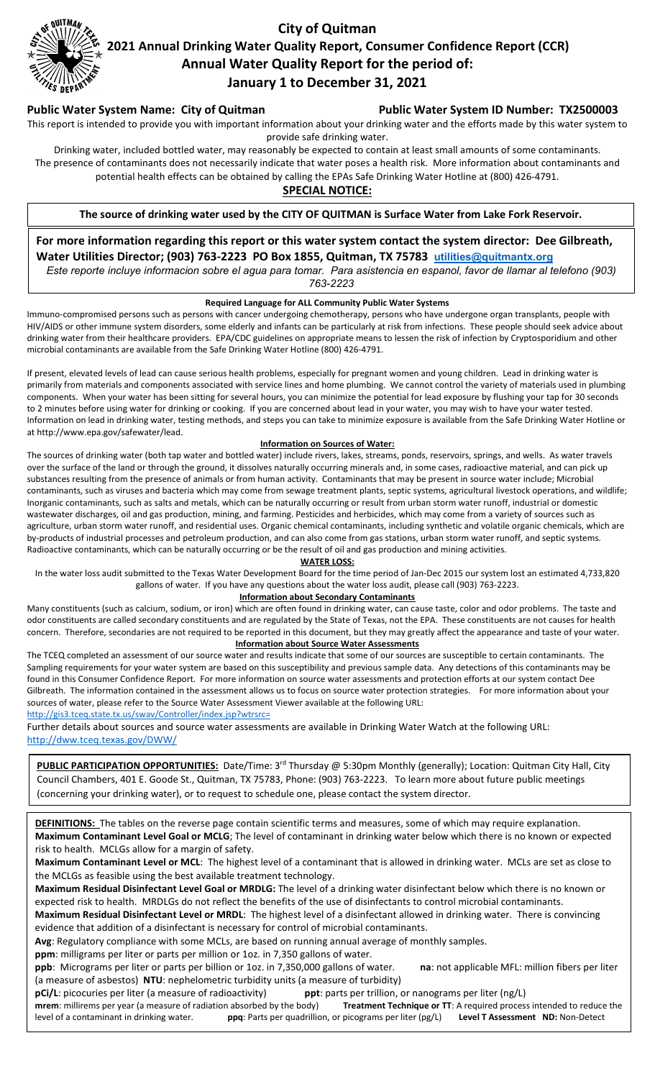

# **City of Quitman 2021 Annual Drinking Water Quality Report, Consumer Confidence Report (CCR) Annual Water Quality Report for the period of: January 1 to December 31, 2021**

Public Water System Name: City of Quitman **Public Water System ID Number: TX2500003** 

This report is intended to provide you with important information about your drinking water and the efforts made by this water system to provide safe drinking water.

Drinking water, included bottled water, may reasonably be expected to contain at least small amounts of some contaminants. The presence of contaminants does not necessarily indicate that water poses a health risk. More information about contaminants and potential health effects can be obtained by calling the EPAs Safe Drinking Water Hotline at (800) 426-4791.

# **SPECIAL NOTICE:**

**The source of drinking water used by the CITY OF QUITMAN is Surface Water from Lake Fork Reservoir.**

**For more information regarding this report or this water system contact the system director: Dee Gilbreath, Water Utilities Director; (903) 763-2223 PO Box 1855, Quitman, TX 75783 [utilities@quitmantx.org](mailto:utilities@quitmantx.org)**

*Este reporte incluye informacion sobre el agua para tomar. Para asistencia en espanol, favor de llamar al telefono (903) 763-2223*

## **Required Language for ALL Community Public Water Systems**

Immuno-compromised persons such as persons with cancer undergoing chemotherapy, persons who have undergone organ transplants, people with HIV/AIDS or other immune system disorders, some elderly and infants can be particularly at risk from infections. These people should seek advice about drinking water from their healthcare providers. EPA/CDC guidelines on appropriate means to lessen the risk of infection by Cryptosporidium and other microbial contaminants are available from the Safe Drinking Water Hotline (800) 426-4791.

If present, elevated levels of lead can cause serious health problems, especially for pregnant women and young children. Lead in drinking water is primarily from materials and components associated with service lines and home plumbing. We cannot control the variety of materials used in plumbing components. When your water has been sitting for several hours, you can minimize the potential for lead exposure by flushing your tap for 30 seconds to 2 minutes before using water for drinking or cooking. If you are concerned about lead in your water, you may wish to have your water tested. Information on lead in drinking water, testing methods, and steps you can take to minimize exposure is available from the Safe Drinking Water Hotline or at http://www.epa.gov/safewater/lead.

#### **Information on Sources of Water:**

The sources of drinking water (both tap water and bottled water) include rivers, lakes, streams, ponds, reservoirs, springs, and wells. As water travels over the surface of the land or through the ground, it dissolves naturally occurring minerals and, in some cases, radioactive material, and can pick up substances resulting from the presence of animals or from human activity. Contaminants that may be present in source water include; Microbial contaminants, such as viruses and bacteria which may come from sewage treatment plants, septic systems, agricultural livestock operations, and wildlife; Inorganic contaminants, such as salts and metals, which can be naturally occurring or result from urban storm water runoff, industrial or domestic wastewater discharges, oil and gas production, mining, and farming. Pesticides and herbicides, which may come from a variety of sources such as agriculture, urban storm water runoff, and residential uses. Organic chemical contaminants, including synthetic and volatile organic chemicals, which are by-products of industrial processes and petroleum production, and can also come from gas stations, urban storm water runoff, and septic systems. Radioactive contaminants, which can be naturally occurring or be the result of oil and gas production and mining activities.

#### **WATER LOSS:**

In the water loss audit submitted to the Texas Water Development Board for the time period of Jan-Dec 2015 our system lost an estimated 4,733,820 gallons of water. If you have any questions about the water loss audit, please call (903) 763-2223.

## **Information about Secondary Contaminants**

Many constituents (such as calcium, sodium, or iron) which are often found in drinking water, can cause taste, color and odor problems. The taste and odor constituents are called secondary constituents and are regulated by the State of Texas, not the EPA. These constituents are not causes for health concern. Therefore, secondaries are not required to be reported in this document, but they may greatly affect the appearance and taste of your water. **Information about Source Water Assessments**

The TCEQ completed an assessment of our source water and results indicate that some of our sources are susceptible to certain contaminants. The Sampling requirements for your water system are based on this susceptibility and previous sample data. Any detections of this contaminants may be found in this Consumer Confidence Report. For more information on source water assessments and protection efforts at our system contact Dee Gilbreath. The information contained in the assessment allows us to focus on source water protection strategies. For more information about your sources of water, please refer to the Source Water Assessment Viewer available at the following URL:

<http://gis3.tceq.state.tx.us/swav/Controller/index.jsp?wtrsrc=>

Further details about sources and source water assessments are available in Drinking Water Watch at the following URL: <http://dww.tceq.texas.gov/DWW/>

**PUBLIC PARTICIPATION OPPORTUNITIES:** Date/Time: 3rd Thursday @ 5:30pm Monthly (generally); Location: Quitman City Hall, City Council Chambers, 401 E. Goode St., Quitman, TX 75783, Phone: (903) 763-2223. To learn more about future public meetings (concerning your drinking water), or to request to schedule one, please contact the system director.

**DEFINITIONS:** The tables on the reverse page contain scientific terms and measures, some of which may require explanation. **Maximum Contaminant Level Goal or MCLG**; The level of contaminant in drinking water below which there is no known or expected risk to health. MCLGs allow for a margin of safety.

**Maximum Contaminant Level or MCL**: The highest level of a contaminant that is allowed in drinking water. MCLs are set as close to the MCLGs as feasible using the best available treatment technology.

**Maximum Residual Disinfectant Level Goal or MRDLG:** The level of a drinking water disinfectant below which there is no known or expected risk to health. MRDLGs do not reflect the benefits of the use of disinfectants to control microbial contaminants.

**Maximum Residual Disinfectant Level or MRDL**: The highest level of a disinfectant allowed in drinking water. There is convincing evidence that addition of a disinfectant is necessary for control of microbial contaminants.

**Avg**: Regulatory compliance with some MCLs, are based on running annual average of monthly samples.

**ppm**: milligrams per liter or parts per million or 1oz. in 7,350 gallons of water.

**ppb**: Micrograms per liter or parts per billion or 1oz. in 7,350,000 gallons of water. **na**: not applicable MFL: million fibers per liter (a measure of asbestos) **NTU**: nephelometric turbidity units (a measure of turbidity)

**pCi/L**: picocuries per liter (a measure of radioactivity) **ppt**: parts per trillion, or nanograms per liter (ng/L) **mrem**: millirems per year (a measure of radiation absorbed by the body) **Treatment Technique or TT**: A required process intended to reduce the level of a contaminant in drinking water. **ppq**: Parts per quadrillion, or picograms per liter (pg/L) **Level T Assessment ND:** Non-Detect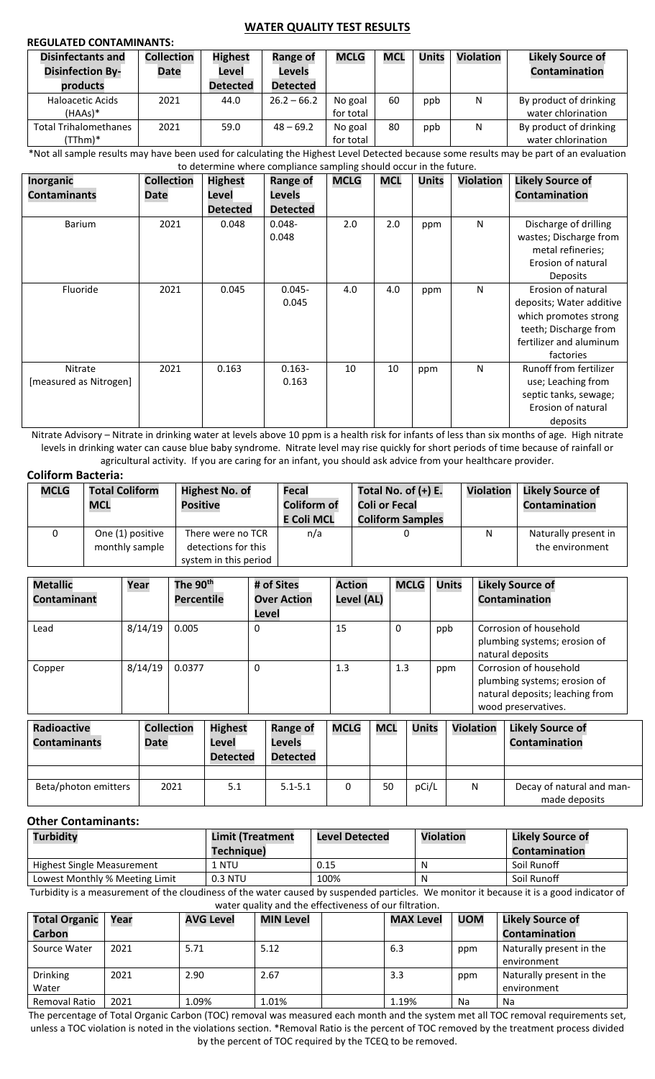## **REGULATED CONTAMINANTS:**

#### **WATER QUALITY TEST RESULTS**

|      |                                             | <b>MCLG</b>                   | <b>MCL</b> | <b>Units</b> | <b>Violation</b> | <b>Likely Source of</b> |
|------|---------------------------------------------|-------------------------------|------------|--------------|------------------|-------------------------|
|      | <b>Levels</b>                               |                               |            |              |                  | Contamination           |
|      | <b>Detected</b>                             |                               |            |              |                  |                         |
| 44.0 | $26.2 - 66.2$                               | No goal                       | 60         | ppb          | N                | By product of drinking  |
|      |                                             | for total                     |            |              |                  | water chlorination      |
| 59.0 | $48 - 69.2$                                 | No goal                       | 80         | ppb          | N                | By product of drinking  |
|      |                                             | for total                     |            |              |                  | water chlorination      |
|      | <b>Date</b><br>2021<br>2021<br>$\mathbf{r}$ | Level<br><b>Detected</b><br>. |            |              |                  |                         |

\*Not all sample results may have been used for calculating the Highest Level Detected because some results may be part of an evaluation to determine where compliance sampling should occur in the future.

| Inorganic              | <b>Collection</b> | <b>Highest</b>  | <b>Range of</b> | <b>MCLG</b> | <b>MCL</b> | <b>Units</b> | <b>Violation</b> | <b>Likely Source of</b>  |
|------------------------|-------------------|-----------------|-----------------|-------------|------------|--------------|------------------|--------------------------|
| <b>Contaminants</b>    | Date              | Level           | Levels          |             |            |              |                  | Contamination            |
|                        |                   | <b>Detected</b> | <b>Detected</b> |             |            |              |                  |                          |
| <b>Barium</b>          | 2021              | 0.048           | $0.048 -$       | 2.0         | 2.0        | ppm          | N                | Discharge of drilling    |
|                        |                   |                 | 0.048           |             |            |              |                  | wastes; Discharge from   |
|                        |                   |                 |                 |             |            |              |                  | metal refineries;        |
|                        |                   |                 |                 |             |            |              |                  | Erosion of natural       |
|                        |                   |                 |                 |             |            |              |                  | <b>Deposits</b>          |
| Fluoride               | 2021              | 0.045           | $0.045 -$       | 4.0         | 4.0        | ppm          | N                | Erosion of natural       |
|                        |                   |                 | 0.045           |             |            |              |                  | deposits; Water additive |
|                        |                   |                 |                 |             |            |              |                  | which promotes strong    |
|                        |                   |                 |                 |             |            |              |                  | teeth; Discharge from    |
|                        |                   |                 |                 |             |            |              |                  | fertilizer and aluminum  |
|                        |                   |                 |                 |             |            |              |                  | factories                |
| Nitrate                | 2021              | 0.163           | $0.163 -$       | 10          | 10         | ppm          | N                | Runoff from fertilizer   |
| [measured as Nitrogen] |                   |                 | 0.163           |             |            |              |                  | use; Leaching from       |
|                        |                   |                 |                 |             |            |              |                  | septic tanks, sewage;    |
|                        |                   |                 |                 |             |            |              |                  | Erosion of natural       |
|                        |                   |                 |                 |             |            |              |                  | deposits                 |

Nitrate Advisory – Nitrate in drinking water at levels above 10 ppm is a health risk for infants of less than six months of age. High nitrate levels in drinking water can cause blue baby syndrome. Nitrate level may rise quickly for short periods of time because of rainfall or agricultural activity. If you are caring for an infant, you should ask advice from your healthcare provider.

# **Coliform Bacteria:**

| <b>MCLG</b> | <b>Total Coliform</b><br><b>MCL</b> | <b>Highest No. of</b><br><b>Positive</b>                          | Fecal<br><b>Coliform of</b><br><b>E Coli MCL</b> | Total No. of $(+)$ E.<br><b>Coli or Fecal</b><br><b>Coliform Samples</b> | <b>Violation</b> | <b>Likely Source of</b><br><b>Contamination</b> |
|-------------|-------------------------------------|-------------------------------------------------------------------|--------------------------------------------------|--------------------------------------------------------------------------|------------------|-------------------------------------------------|
| 0           | One (1) positive<br>monthly sample  | There were no TCR<br>detections for this<br>system in this period | n/a                                              |                                                                          | N                | Naturally present in<br>the environment         |

| <b>Metallic</b><br>Contaminant          | Year |         | The 90 <sup>th</sup><br><b>Percentile</b> |                          |                 | # of Sites<br><b>Over Action</b><br>Level | <b>Action</b><br>Level (AL) |    | <b>MCLG</b>  |                  | <b>Units</b> |                         | <b>Likely Source of</b><br><b>Contamination</b>                                                                  |
|-----------------------------------------|------|---------|-------------------------------------------|--------------------------|-----------------|-------------------------------------------|-----------------------------|----|--------------|------------------|--------------|-------------------------|------------------------------------------------------------------------------------------------------------------|
| Lead                                    |      | 8/14/19 | 0.005                                     |                          | 0               |                                           | 15                          |    | 0            |                  | ppb          |                         | Corrosion of household<br>plumbing systems; erosion of<br>natural deposits                                       |
| Copper                                  |      | 8/14/19 | 0.0377                                    |                          | 0               |                                           | 1.3                         |    | 1.3          |                  | ppm          |                         | Corrosion of household<br>plumbing systems; erosion of<br>natural deposits; leaching from<br>wood preservatives. |
| <b>Radioactive</b><br><b>Collection</b> |      |         | <b>Highest</b>                            |                          | <b>Range of</b> | <b>MCLG</b><br><b>MCL</b>                 |                             |    | <b>Units</b> | <b>Violation</b> |              | <b>Likely Source of</b> |                                                                                                                  |
| <b>Contaminants</b>                     |      | Date    |                                           | Level<br><b>Detected</b> |                 | Levels<br><b>Detected</b>                 |                             |    |              |                  |              |                         | Contamination                                                                                                    |
|                                         |      |         |                                           |                          |                 |                                           |                             |    |              |                  |              |                         |                                                                                                                  |
| Beta/photon emitters                    |      |         | 2021                                      | 5.1                      |                 | $5.1 - 5.1$                               | $\mathbf{0}$                | 50 |              | pCi/L            |              | N                       | Decay of natural and man-<br>made deposits                                                                       |

#### **Other Contaminants:**

| <b>Turbidity</b>               | <b>Limit (Treatment</b> | <b>Level Detected</b> | <b>Violation</b> | <b>Likely Source of</b> |  |
|--------------------------------|-------------------------|-----------------------|------------------|-------------------------|--|
|                                | Techniaue)              |                       |                  | <b>Contamination</b>    |  |
| Highest Single Measurement     | 1 NTU                   | 0.15                  | N                | Soil Runoff             |  |
| Lowest Monthly % Meeting Limit | 0.3 NTU                 | 100%                  | N                | Soil Runoff             |  |

Turbidity is a measurement of the cloudiness of the water caused by suspended particles. We monitor it because it is a good indicator of water quality and the effectiveness of our filtration.

| <b>Total Organic</b>     | Year | <b>AVG Level</b> | <b>MIN Level</b> | <b>MAX Level</b> | <b>UOM</b> | <b>Likely Source of</b>                 |
|--------------------------|------|------------------|------------------|------------------|------------|-----------------------------------------|
| <b>Carbon</b>            |      |                  |                  |                  |            | <b>Contamination</b>                    |
| Source Water             | 2021 | 5.71             | 5.12             | 6.3              | ppm        | Naturally present in the<br>environment |
| <b>Drinking</b><br>Water | 2021 | 2.90             | 2.67             | 3.3              | ppm        | Naturally present in the<br>environment |
| Removal Ratio            | 2021 | 1.09%            | 1.01%            | 1.19%            | Na         | Na                                      |

The percentage of Total Organic Carbon (TOC) removal was measured each month and the system met all TOC removal requirements set, unless a TOC violation is noted in the violations section. \*Removal Ratio is the percent of TOC removed by the treatment process divided by the percent of TOC required by the TCEQ to be removed.